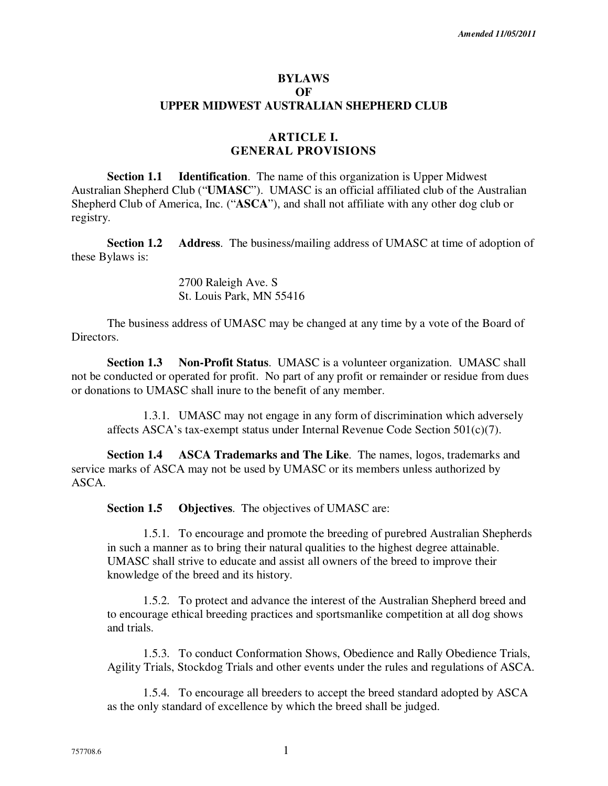#### **BYLAWS OF UPPER MIDWEST AUSTRALIAN SHEPHERD CLUB**

## **ARTICLE I. GENERAL PROVISIONS**

**Section 1.1 Identification**. The name of this organization is Upper Midwest Australian Shepherd Club ("**UMASC**"). UMASC is an official affiliated club of the Australian Shepherd Club of America, Inc. ("**ASCA**"), and shall not affiliate with any other dog club or registry.

**Section 1.2 Address**. The business/mailing address of UMASC at time of adoption of these Bylaws is:

> 2700 Raleigh Ave. S St. Louis Park, MN 55416

The business address of UMASC may be changed at any time by a vote of the Board of Directors.

**Section 1.3 Non-Profit Status**. UMASC is a volunteer organization. UMASC shall not be conducted or operated for profit. No part of any profit or remainder or residue from dues or donations to UMASC shall inure to the benefit of any member.

1.3.1. UMASC may not engage in any form of discrimination which adversely affects ASCA's tax-exempt status under Internal Revenue Code Section 501(c)(7).

**Section 1.4 ASCA Trademarks and The Like**. The names, logos, trademarks and service marks of ASCA may not be used by UMASC or its members unless authorized by ASCA.

**Section 1.5 Objectives**. The objectives of UMASC are:

1.5.1. To encourage and promote the breeding of purebred Australian Shepherds in such a manner as to bring their natural qualities to the highest degree attainable. UMASC shall strive to educate and assist all owners of the breed to improve their knowledge of the breed and its history.

1.5.2. To protect and advance the interest of the Australian Shepherd breed and to encourage ethical breeding practices and sportsmanlike competition at all dog shows and trials.

1.5.3. To conduct Conformation Shows, Obedience and Rally Obedience Trials, Agility Trials, Stockdog Trials and other events under the rules and regulations of ASCA.

1.5.4. To encourage all breeders to accept the breed standard adopted by ASCA as the only standard of excellence by which the breed shall be judged.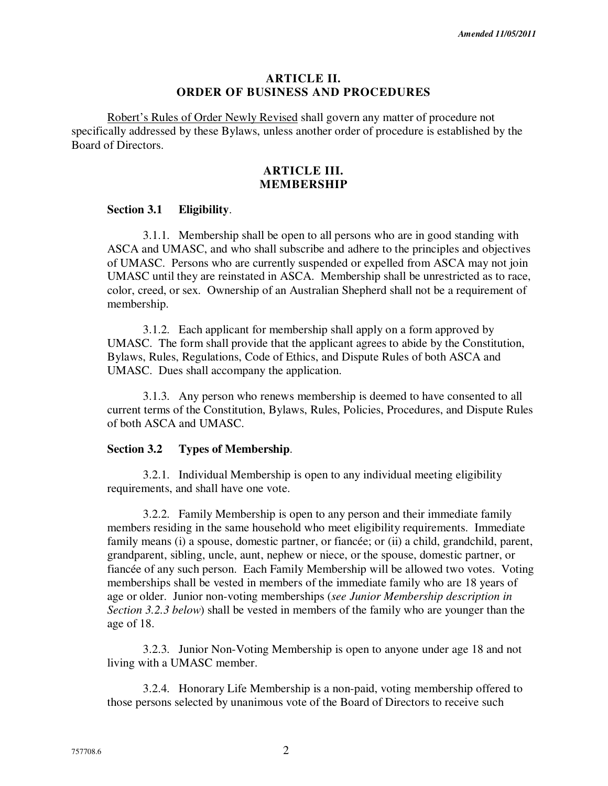#### **ARTICLE II. ORDER OF BUSINESS AND PROCEDURES**

Robert's Rules of Order Newly Revised shall govern any matter of procedure not specifically addressed by these Bylaws, unless another order of procedure is established by the Board of Directors.

#### **ARTICLE III. MEMBERSHIP**

#### **Section 3.1 Eligibility**.

3.1.1. Membership shall be open to all persons who are in good standing with ASCA and UMASC, and who shall subscribe and adhere to the principles and objectives of UMASC. Persons who are currently suspended or expelled from ASCA may not join UMASC until they are reinstated in ASCA. Membership shall be unrestricted as to race, color, creed, or sex. Ownership of an Australian Shepherd shall not be a requirement of membership.

3.1.2. Each applicant for membership shall apply on a form approved by UMASC. The form shall provide that the applicant agrees to abide by the Constitution, Bylaws, Rules, Regulations, Code of Ethics, and Dispute Rules of both ASCA and UMASC. Dues shall accompany the application.

3.1.3. Any person who renews membership is deemed to have consented to all current terms of the Constitution, Bylaws, Rules, Policies, Procedures, and Dispute Rules of both ASCA and UMASC.

#### **Section 3.2 Types of Membership**.

3.2.1. Individual Membership is open to any individual meeting eligibility requirements, and shall have one vote.

3.2.2. Family Membership is open to any person and their immediate family members residing in the same household who meet eligibility requirements. Immediate family means (i) a spouse, domestic partner, or fiancée; or (ii) a child, grandchild, parent, grandparent, sibling, uncle, aunt, nephew or niece, or the spouse, domestic partner, or fiancée of any such person. Each Family Membership will be allowed two votes. Voting memberships shall be vested in members of the immediate family who are 18 years of age or older. Junior non-voting memberships (*see Junior Membership description in Section 3.2.3 below*) shall be vested in members of the family who are younger than the age of 18.

3.2.3. Junior Non-Voting Membership is open to anyone under age 18 and not living with a UMASC member.

3.2.4. Honorary Life Membership is a non-paid, voting membership offered to those persons selected by unanimous vote of the Board of Directors to receive such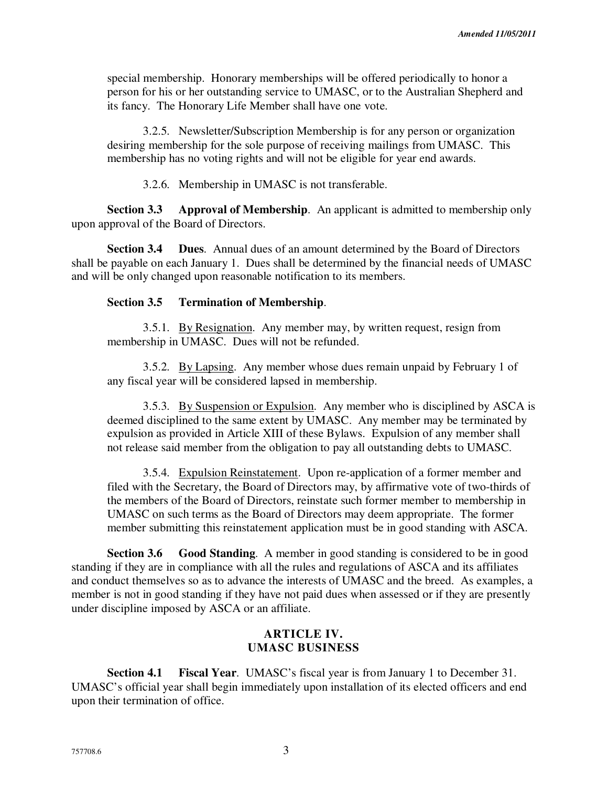special membership. Honorary memberships will be offered periodically to honor a person for his or her outstanding service to UMASC, or to the Australian Shepherd and its fancy. The Honorary Life Member shall have one vote.

3.2.5. Newsletter/Subscription Membership is for any person or organization desiring membership for the sole purpose of receiving mailings from UMASC. This membership has no voting rights and will not be eligible for year end awards.

3.2.6. Membership in UMASC is not transferable.

**Section 3.3 Approval of Membership**. An applicant is admitted to membership only upon approval of the Board of Directors.

**Section 3.4 Dues**. Annual dues of an amount determined by the Board of Directors shall be payable on each January 1. Dues shall be determined by the financial needs of UMASC and will be only changed upon reasonable notification to its members.

#### **Section 3.5 Termination of Membership**.

3.5.1. By Resignation. Any member may, by written request, resign from membership in UMASC. Dues will not be refunded.

3.5.2. By Lapsing. Any member whose dues remain unpaid by February 1 of any fiscal year will be considered lapsed in membership.

3.5.3. By Suspension or Expulsion. Any member who is disciplined by ASCA is deemed disciplined to the same extent by UMASC. Any member may be terminated by expulsion as provided in Article XIII of these Bylaws. Expulsion of any member shall not release said member from the obligation to pay all outstanding debts to UMASC.

3.5.4. Expulsion Reinstatement. Upon re-application of a former member and filed with the Secretary, the Board of Directors may, by affirmative vote of two-thirds of the members of the Board of Directors, reinstate such former member to membership in UMASC on such terms as the Board of Directors may deem appropriate. The former member submitting this reinstatement application must be in good standing with ASCA.

**Section 3.6 Good Standing**. A member in good standing is considered to be in good standing if they are in compliance with all the rules and regulations of ASCA and its affiliates and conduct themselves so as to advance the interests of UMASC and the breed. As examples, a member is not in good standing if they have not paid dues when assessed or if they are presently under discipline imposed by ASCA or an affiliate.

### **ARTICLE IV. UMASC BUSINESS**

**Section 4.1 Fiscal Year**. UMASC's fiscal year is from January 1 to December 31. UMASC's official year shall begin immediately upon installation of its elected officers and end upon their termination of office.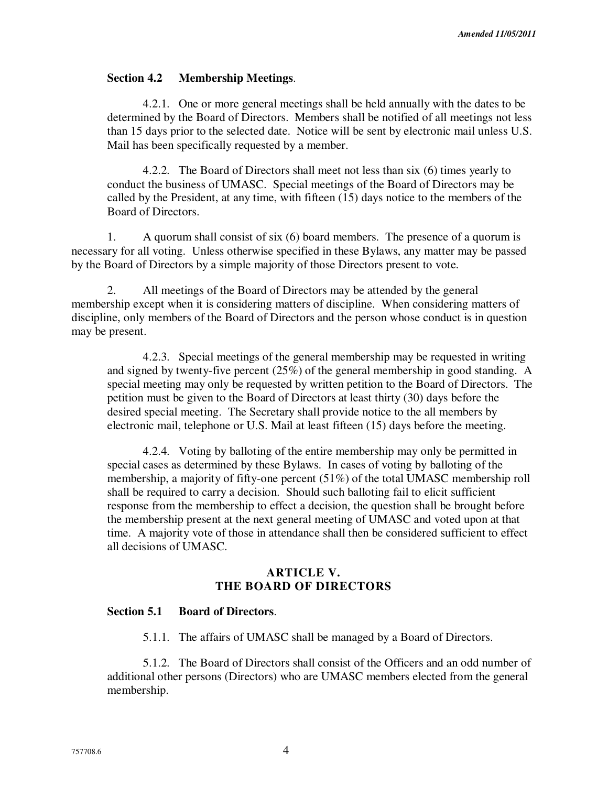### **Section 4.2 Membership Meetings**.

4.2.1. One or more general meetings shall be held annually with the dates to be determined by the Board of Directors. Members shall be notified of all meetings not less than 15 days prior to the selected date. Notice will be sent by electronic mail unless U.S. Mail has been specifically requested by a member.

4.2.2. The Board of Directors shall meet not less than six (6) times yearly to conduct the business of UMASC. Special meetings of the Board of Directors may be called by the President, at any time, with fifteen (15) days notice to the members of the Board of Directors.

1. A quorum shall consist of six (6) board members. The presence of a quorum is necessary for all voting. Unless otherwise specified in these Bylaws, any matter may be passed by the Board of Directors by a simple majority of those Directors present to vote.

2. All meetings of the Board of Directors may be attended by the general membership except when it is considering matters of discipline. When considering matters of discipline, only members of the Board of Directors and the person whose conduct is in question may be present.

4.2.3. Special meetings of the general membership may be requested in writing and signed by twenty-five percent (25%) of the general membership in good standing. A special meeting may only be requested by written petition to the Board of Directors. The petition must be given to the Board of Directors at least thirty (30) days before the desired special meeting. The Secretary shall provide notice to the all members by electronic mail, telephone or U.S. Mail at least fifteen (15) days before the meeting.

4.2.4. Voting by balloting of the entire membership may only be permitted in special cases as determined by these Bylaws. In cases of voting by balloting of the membership, a majority of fifty-one percent (51%) of the total UMASC membership roll shall be required to carry a decision. Should such balloting fail to elicit sufficient response from the membership to effect a decision, the question shall be brought before the membership present at the next general meeting of UMASC and voted upon at that time. A majority vote of those in attendance shall then be considered sufficient to effect all decisions of UMASC.

### **ARTICLE V. THE BOARD OF DIRECTORS**

## **Section 5.1 Board of Directors**.

5.1.1. The affairs of UMASC shall be managed by a Board of Directors.

5.1.2. The Board of Directors shall consist of the Officers and an odd number of additional other persons (Directors) who are UMASC members elected from the general membership.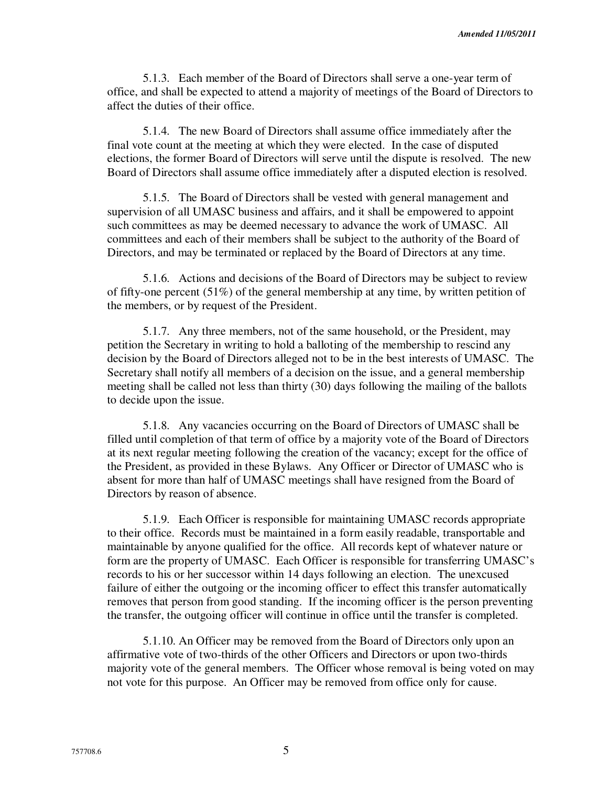5.1.3. Each member of the Board of Directors shall serve a one-year term of office, and shall be expected to attend a majority of meetings of the Board of Directors to affect the duties of their office.

5.1.4. The new Board of Directors shall assume office immediately after the final vote count at the meeting at which they were elected. In the case of disputed elections, the former Board of Directors will serve until the dispute is resolved. The new Board of Directors shall assume office immediately after a disputed election is resolved.

5.1.5. The Board of Directors shall be vested with general management and supervision of all UMASC business and affairs, and it shall be empowered to appoint such committees as may be deemed necessary to advance the work of UMASC. All committees and each of their members shall be subject to the authority of the Board of Directors, and may be terminated or replaced by the Board of Directors at any time.

5.1.6. Actions and decisions of the Board of Directors may be subject to review of fifty-one percent (51%) of the general membership at any time, by written petition of the members, or by request of the President.

5.1.7. Any three members, not of the same household, or the President, may petition the Secretary in writing to hold a balloting of the membership to rescind any decision by the Board of Directors alleged not to be in the best interests of UMASC. The Secretary shall notify all members of a decision on the issue, and a general membership meeting shall be called not less than thirty (30) days following the mailing of the ballots to decide upon the issue.

5.1.8. Any vacancies occurring on the Board of Directors of UMASC shall be filled until completion of that term of office by a majority vote of the Board of Directors at its next regular meeting following the creation of the vacancy; except for the office of the President, as provided in these Bylaws. Any Officer or Director of UMASC who is absent for more than half of UMASC meetings shall have resigned from the Board of Directors by reason of absence.

5.1.9. Each Officer is responsible for maintaining UMASC records appropriate to their office. Records must be maintained in a form easily readable, transportable and maintainable by anyone qualified for the office. All records kept of whatever nature or form are the property of UMASC. Each Officer is responsible for transferring UMASC's records to his or her successor within 14 days following an election. The unexcused failure of either the outgoing or the incoming officer to effect this transfer automatically removes that person from good standing. If the incoming officer is the person preventing the transfer, the outgoing officer will continue in office until the transfer is completed.

5.1.10. An Officer may be removed from the Board of Directors only upon an affirmative vote of two-thirds of the other Officers and Directors or upon two-thirds majority vote of the general members. The Officer whose removal is being voted on may not vote for this purpose. An Officer may be removed from office only for cause.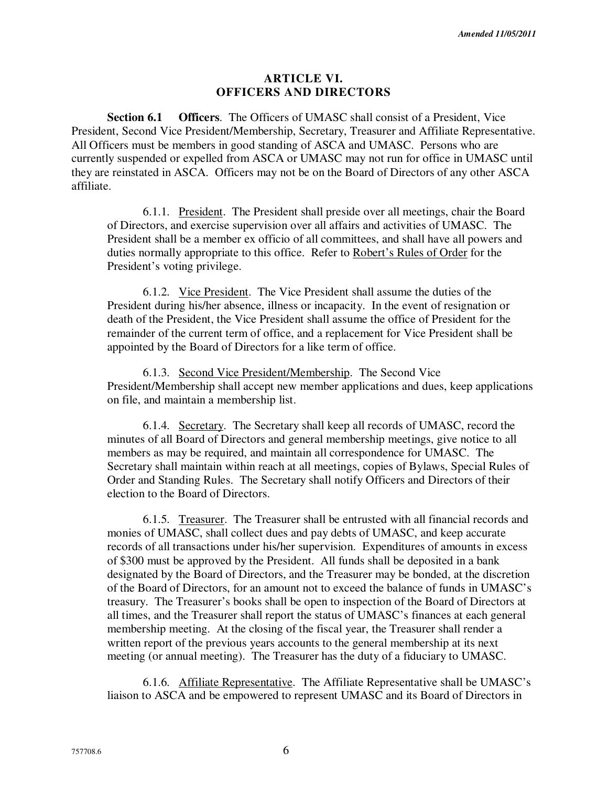### **ARTICLE VI. OFFICERS AND DIRECTORS**

**Section 6.1 Officers**. The Officers of UMASC shall consist of a President, Vice President, Second Vice President/Membership, Secretary, Treasurer and Affiliate Representative. All Officers must be members in good standing of ASCA and UMASC. Persons who are currently suspended or expelled from ASCA or UMASC may not run for office in UMASC until they are reinstated in ASCA. Officers may not be on the Board of Directors of any other ASCA affiliate.

6.1.1. President. The President shall preside over all meetings, chair the Board of Directors, and exercise supervision over all affairs and activities of UMASC. The President shall be a member ex officio of all committees, and shall have all powers and duties normally appropriate to this office. Refer to Robert's Rules of Order for the President's voting privilege.

6.1.2. Vice President. The Vice President shall assume the duties of the President during his/her absence, illness or incapacity. In the event of resignation or death of the President, the Vice President shall assume the office of President for the remainder of the current term of office, and a replacement for Vice President shall be appointed by the Board of Directors for a like term of office.

6.1.3. Second Vice President/Membership. The Second Vice President/Membership shall accept new member applications and dues, keep applications on file, and maintain a membership list.

6.1.4. Secretary. The Secretary shall keep all records of UMASC, record the minutes of all Board of Directors and general membership meetings, give notice to all members as may be required, and maintain all correspondence for UMASC. The Secretary shall maintain within reach at all meetings, copies of Bylaws, Special Rules of Order and Standing Rules. The Secretary shall notify Officers and Directors of their election to the Board of Directors.

6.1.5. Treasurer. The Treasurer shall be entrusted with all financial records and monies of UMASC, shall collect dues and pay debts of UMASC, and keep accurate records of all transactions under his/her supervision. Expenditures of amounts in excess of \$300 must be approved by the President. All funds shall be deposited in a bank designated by the Board of Directors, and the Treasurer may be bonded, at the discretion of the Board of Directors, for an amount not to exceed the balance of funds in UMASC's treasury. The Treasurer's books shall be open to inspection of the Board of Directors at all times, and the Treasurer shall report the status of UMASC's finances at each general membership meeting. At the closing of the fiscal year, the Treasurer shall render a written report of the previous years accounts to the general membership at its next meeting (or annual meeting). The Treasurer has the duty of a fiduciary to UMASC.

6.1.6. Affiliate Representative. The Affiliate Representative shall be UMASC's liaison to ASCA and be empowered to represent UMASC and its Board of Directors in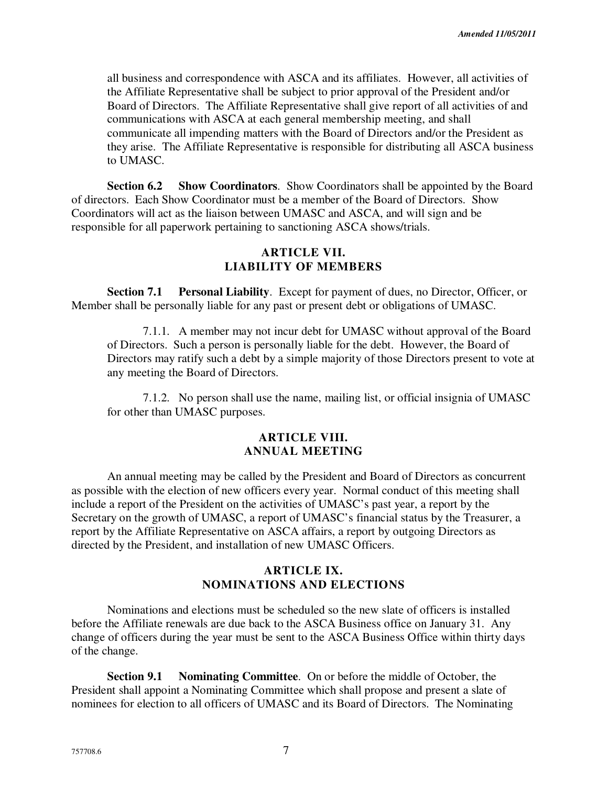all business and correspondence with ASCA and its affiliates. However, all activities of the Affiliate Representative shall be subject to prior approval of the President and/or Board of Directors. The Affiliate Representative shall give report of all activities of and communications with ASCA at each general membership meeting, and shall communicate all impending matters with the Board of Directors and/or the President as they arise. The Affiliate Representative is responsible for distributing all ASCA business to UMASC.

**Section 6.2 Show Coordinators**. Show Coordinators shall be appointed by the Board of directors. Each Show Coordinator must be a member of the Board of Directors. Show Coordinators will act as the liaison between UMASC and ASCA, and will sign and be responsible for all paperwork pertaining to sanctioning ASCA shows/trials.

### **ARTICLE VII. LIABILITY OF MEMBERS**

**Section 7.1 Personal Liability**. Except for payment of dues, no Director, Officer, or Member shall be personally liable for any past or present debt or obligations of UMASC.

7.1.1. A member may not incur debt for UMASC without approval of the Board of Directors. Such a person is personally liable for the debt. However, the Board of Directors may ratify such a debt by a simple majority of those Directors present to vote at any meeting the Board of Directors.

7.1.2. No person shall use the name, mailing list, or official insignia of UMASC for other than UMASC purposes.

### **ARTICLE VIII. ANNUAL MEETING**

An annual meeting may be called by the President and Board of Directors as concurrent as possible with the election of new officers every year. Normal conduct of this meeting shall include a report of the President on the activities of UMASC's past year, a report by the Secretary on the growth of UMASC, a report of UMASC's financial status by the Treasurer, a report by the Affiliate Representative on ASCA affairs, a report by outgoing Directors as directed by the President, and installation of new UMASC Officers.

# **ARTICLE IX. NOMINATIONS AND ELECTIONS**

Nominations and elections must be scheduled so the new slate of officers is installed before the Affiliate renewals are due back to the ASCA Business office on January 31. Any change of officers during the year must be sent to the ASCA Business Office within thirty days of the change.

**Section 9.1 Nominating Committee**. On or before the middle of October, the President shall appoint a Nominating Committee which shall propose and present a slate of nominees for election to all officers of UMASC and its Board of Directors. The Nominating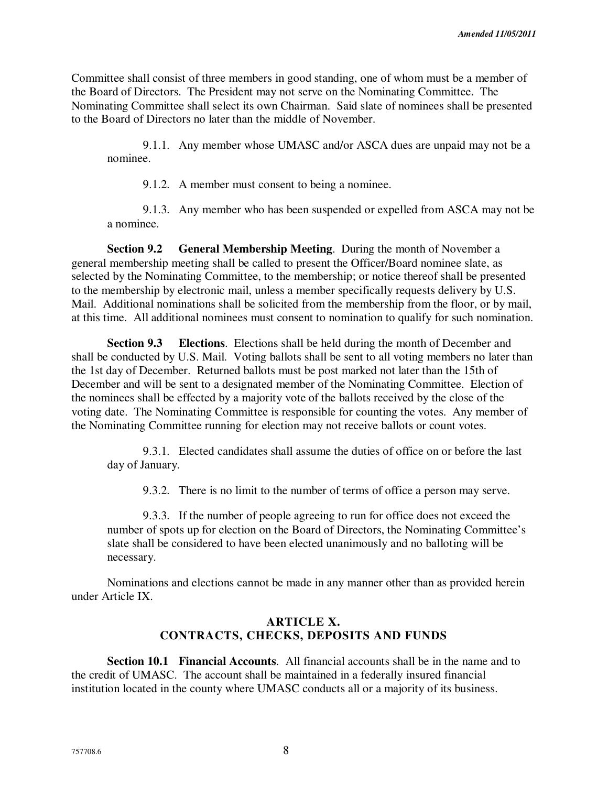Committee shall consist of three members in good standing, one of whom must be a member of the Board of Directors. The President may not serve on the Nominating Committee. The Nominating Committee shall select its own Chairman. Said slate of nominees shall be presented to the Board of Directors no later than the middle of November.

9.1.1. Any member whose UMASC and/or ASCA dues are unpaid may not be a nominee.

9.1.2. A member must consent to being a nominee.

9.1.3. Any member who has been suspended or expelled from ASCA may not be a nominee.

**Section 9.2 General Membership Meeting**. During the month of November a general membership meeting shall be called to present the Officer/Board nominee slate, as selected by the Nominating Committee, to the membership; or notice thereof shall be presented to the membership by electronic mail, unless a member specifically requests delivery by U.S. Mail. Additional nominations shall be solicited from the membership from the floor, or by mail, at this time. All additional nominees must consent to nomination to qualify for such nomination.

**Section 9.3 Elections**. Elections shall be held during the month of December and shall be conducted by U.S. Mail. Voting ballots shall be sent to all voting members no later than the 1st day of December. Returned ballots must be post marked not later than the 15th of December and will be sent to a designated member of the Nominating Committee. Election of the nominees shall be effected by a majority vote of the ballots received by the close of the voting date. The Nominating Committee is responsible for counting the votes. Any member of the Nominating Committee running for election may not receive ballots or count votes.

9.3.1. Elected candidates shall assume the duties of office on or before the last day of January.

9.3.2. There is no limit to the number of terms of office a person may serve.

9.3.3. If the number of people agreeing to run for office does not exceed the number of spots up for election on the Board of Directors, the Nominating Committee's slate shall be considered to have been elected unanimously and no balloting will be necessary.

Nominations and elections cannot be made in any manner other than as provided herein under Article IX.

# **ARTICLE X. CONTRACTS, CHECKS, DEPOSITS AND FUNDS**

**Section 10.1 Financial Accounts**. All financial accounts shall be in the name and to the credit of UMASC. The account shall be maintained in a federally insured financial institution located in the county where UMASC conducts all or a majority of its business.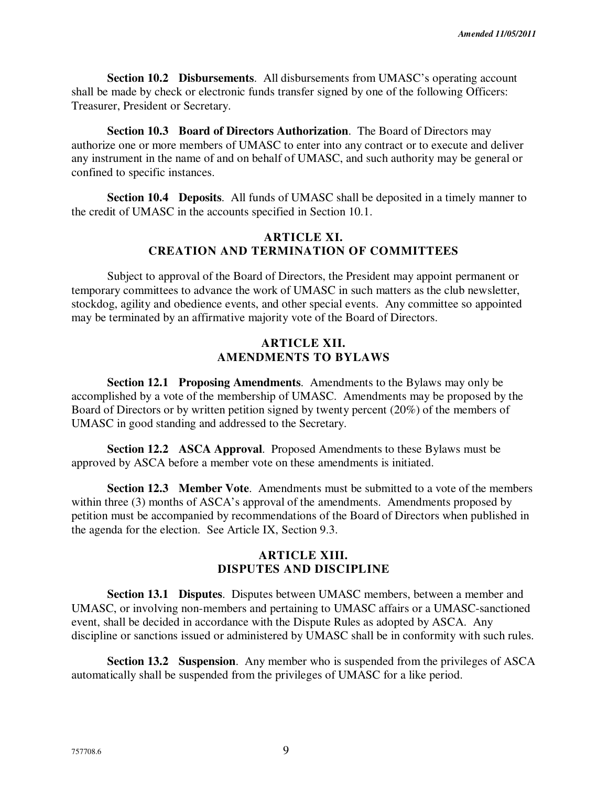**Section 10.2 Disbursements**. All disbursements from UMASC's operating account shall be made by check or electronic funds transfer signed by one of the following Officers: Treasurer, President or Secretary.

**Section 10.3 Board of Directors Authorization**. The Board of Directors may authorize one or more members of UMASC to enter into any contract or to execute and deliver any instrument in the name of and on behalf of UMASC, and such authority may be general or confined to specific instances.

**Section 10.4 Deposits**. All funds of UMASC shall be deposited in a timely manner to the credit of UMASC in the accounts specified in Section 10.1.

## **ARTICLE XI. CREATION AND TERMINATION OF COMMITTEES**

Subject to approval of the Board of Directors, the President may appoint permanent or temporary committees to advance the work of UMASC in such matters as the club newsletter, stockdog, agility and obedience events, and other special events. Any committee so appointed may be terminated by an affirmative majority vote of the Board of Directors.

#### **ARTICLE XII. AMENDMENTS TO BYLAWS**

**Section 12.1 Proposing Amendments**. Amendments to the Bylaws may only be accomplished by a vote of the membership of UMASC. Amendments may be proposed by the Board of Directors or by written petition signed by twenty percent (20%) of the members of UMASC in good standing and addressed to the Secretary.

**Section 12.2 ASCA Approval**. Proposed Amendments to these Bylaws must be approved by ASCA before a member vote on these amendments is initiated.

**Section 12.3 Member Vote**. Amendments must be submitted to a vote of the members within three (3) months of ASCA's approval of the amendments. Amendments proposed by petition must be accompanied by recommendations of the Board of Directors when published in the agenda for the election. See Article IX, Section 9.3.

## **ARTICLE XIII. DISPUTES AND DISCIPLINE**

**Section 13.1 Disputes**. Disputes between UMASC members, between a member and UMASC, or involving non-members and pertaining to UMASC affairs or a UMASC-sanctioned event, shall be decided in accordance with the Dispute Rules as adopted by ASCA. Any discipline or sanctions issued or administered by UMASC shall be in conformity with such rules.

**Section 13.2 Suspension**. Any member who is suspended from the privileges of ASCA automatically shall be suspended from the privileges of UMASC for a like period.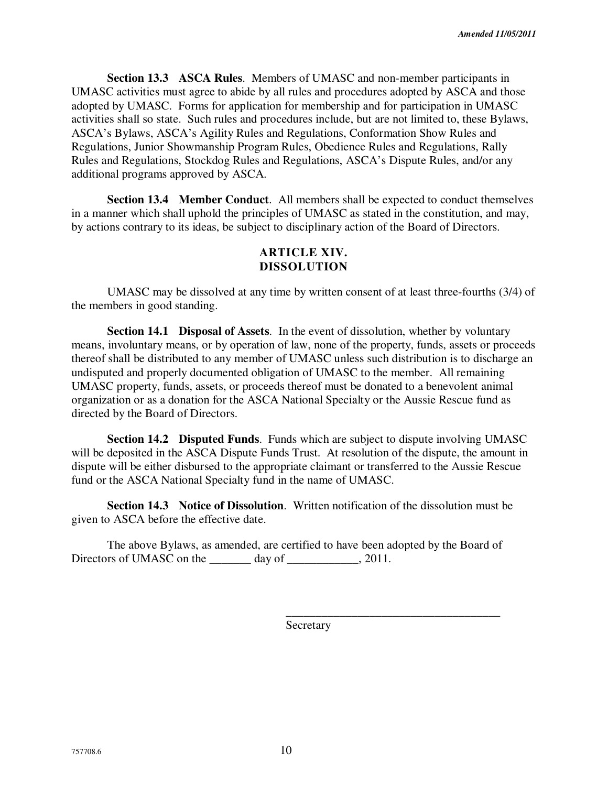**Section 13.3 ASCA Rules**. Members of UMASC and non-member participants in UMASC activities must agree to abide by all rules and procedures adopted by ASCA and those adopted by UMASC. Forms for application for membership and for participation in UMASC activities shall so state. Such rules and procedures include, but are not limited to, these Bylaws, ASCA's Bylaws, ASCA's Agility Rules and Regulations, Conformation Show Rules and Regulations, Junior Showmanship Program Rules, Obedience Rules and Regulations, Rally Rules and Regulations, Stockdog Rules and Regulations, ASCA's Dispute Rules, and/or any additional programs approved by ASCA.

**Section 13.4 Member Conduct**. All members shall be expected to conduct themselves in a manner which shall uphold the principles of UMASC as stated in the constitution, and may, by actions contrary to its ideas, be subject to disciplinary action of the Board of Directors.

### **ARTICLE XIV. DISSOLUTION**

UMASC may be dissolved at any time by written consent of at least three-fourths (3/4) of the members in good standing.

**Section 14.1 Disposal of Assets**. In the event of dissolution, whether by voluntary means, involuntary means, or by operation of law, none of the property, funds, assets or proceeds thereof shall be distributed to any member of UMASC unless such distribution is to discharge an undisputed and properly documented obligation of UMASC to the member. All remaining UMASC property, funds, assets, or proceeds thereof must be donated to a benevolent animal organization or as a donation for the ASCA National Specialty or the Aussie Rescue fund as directed by the Board of Directors.

**Section 14.2 Disputed Funds**. Funds which are subject to dispute involving UMASC will be deposited in the ASCA Dispute Funds Trust. At resolution of the dispute, the amount in dispute will be either disbursed to the appropriate claimant or transferred to the Aussie Rescue fund or the ASCA National Specialty fund in the name of UMASC.

**Section 14.3 Notice of Dissolution**. Written notification of the dissolution must be given to ASCA before the effective date.

The above Bylaws, as amended, are certified to have been adopted by the Board of Directors of UMASC on the \_\_\_\_\_\_\_\_ day of \_\_\_\_\_\_\_\_\_, 2011.

 $\overline{\phantom{a}}$  , which is a set of the set of the set of the set of the set of the set of the set of the set of the set of the set of the set of the set of the set of the set of the set of the set of the set of the set of th

Secretary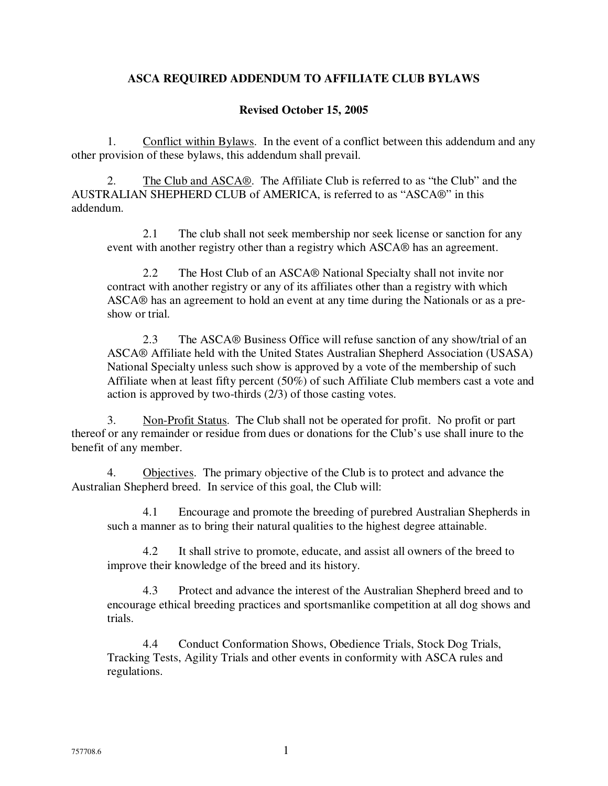# **ASCA REQUIRED ADDENDUM TO AFFILIATE CLUB BYLAWS**

### **Revised October 15, 2005**

1. Conflict within Bylaws. In the event of a conflict between this addendum and any other provision of these bylaws, this addendum shall prevail.

2. The Club and ASCA®. The Affiliate Club is referred to as "the Club" and the AUSTRALIAN SHEPHERD CLUB of AMERICA, is referred to as "ASCA®" in this addendum.

2.1 The club shall not seek membership nor seek license or sanction for any event with another registry other than a registry which ASCA® has an agreement.

2.2 The Host Club of an ASCA® National Specialty shall not invite nor contract with another registry or any of its affiliates other than a registry with which ASCA® has an agreement to hold an event at any time during the Nationals or as a preshow or trial.

2.3 The ASCA® Business Office will refuse sanction of any show/trial of an ASCA® Affiliate held with the United States Australian Shepherd Association (USASA) National Specialty unless such show is approved by a vote of the membership of such Affiliate when at least fifty percent (50%) of such Affiliate Club members cast a vote and action is approved by two-thirds (2/3) of those casting votes.

3. Non-Profit Status. The Club shall not be operated for profit. No profit or part thereof or any remainder or residue from dues or donations for the Club's use shall inure to the benefit of any member.

4. Objectives. The primary objective of the Club is to protect and advance the Australian Shepherd breed. In service of this goal, the Club will:

4.1 Encourage and promote the breeding of purebred Australian Shepherds in such a manner as to bring their natural qualities to the highest degree attainable.

4.2 It shall strive to promote, educate, and assist all owners of the breed to improve their knowledge of the breed and its history.

4.3 Protect and advance the interest of the Australian Shepherd breed and to encourage ethical breeding practices and sportsmanlike competition at all dog shows and trials.

4.4 Conduct Conformation Shows, Obedience Trials, Stock Dog Trials, Tracking Tests, Agility Trials and other events in conformity with ASCA rules and regulations.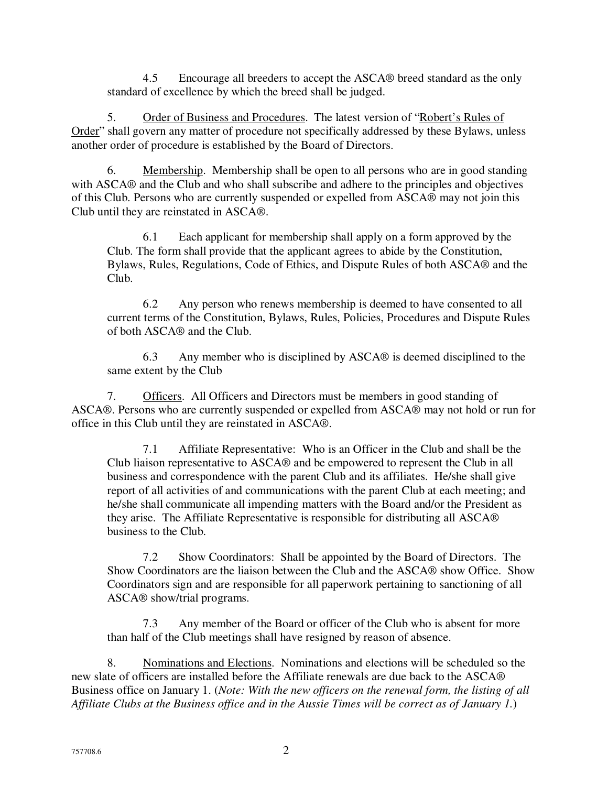4.5 Encourage all breeders to accept the ASCA® breed standard as the only standard of excellence by which the breed shall be judged.

5. Order of Business and Procedures. The latest version of "Robert's Rules of Order" shall govern any matter of procedure not specifically addressed by these Bylaws, unless another order of procedure is established by the Board of Directors.

6. Membership. Membership shall be open to all persons who are in good standing with ASCA® and the Club and who shall subscribe and adhere to the principles and objectives of this Club. Persons who are currently suspended or expelled from ASCA® may not join this Club until they are reinstated in ASCA®.

6.1 Each applicant for membership shall apply on a form approved by the Club. The form shall provide that the applicant agrees to abide by the Constitution, Bylaws, Rules, Regulations, Code of Ethics, and Dispute Rules of both ASCA® and the Club.

6.2 Any person who renews membership is deemed to have consented to all current terms of the Constitution, Bylaws, Rules, Policies, Procedures and Dispute Rules of both ASCA® and the Club.

6.3 Any member who is disciplined by ASCA® is deemed disciplined to the same extent by the Club

7. Officers. All Officers and Directors must be members in good standing of ASCA®. Persons who are currently suspended or expelled from ASCA® may not hold or run for office in this Club until they are reinstated in ASCA®.

7.1 Affiliate Representative: Who is an Officer in the Club and shall be the Club liaison representative to ASCA® and be empowered to represent the Club in all business and correspondence with the parent Club and its affiliates. He/she shall give report of all activities of and communications with the parent Club at each meeting; and he/she shall communicate all impending matters with the Board and/or the President as they arise. The Affiliate Representative is responsible for distributing all ASCA® business to the Club.

7.2 Show Coordinators: Shall be appointed by the Board of Directors. The Show Coordinators are the liaison between the Club and the ASCA® show Office. Show Coordinators sign and are responsible for all paperwork pertaining to sanctioning of all ASCA® show/trial programs.

7.3 Any member of the Board or officer of the Club who is absent for more than half of the Club meetings shall have resigned by reason of absence.

8. Nominations and Elections. Nominations and elections will be scheduled so the new slate of officers are installed before the Affiliate renewals are due back to the ASCA® Business office on January 1. (*Note: With the new officers on the renewal form, the listing of all Affiliate Clubs at the Business office and in the Aussie Times will be correct as of January 1.*)